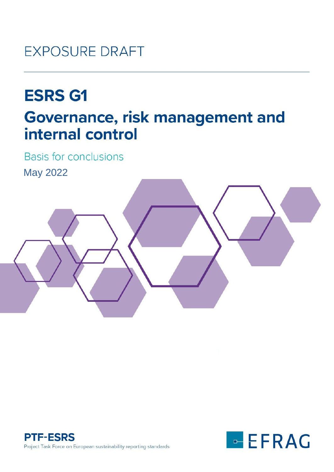## **EXPOSURE DRAFT**

# **ESRS G1 Governance, risk management and** internal control

**Basis for conclusions** 

May 2022





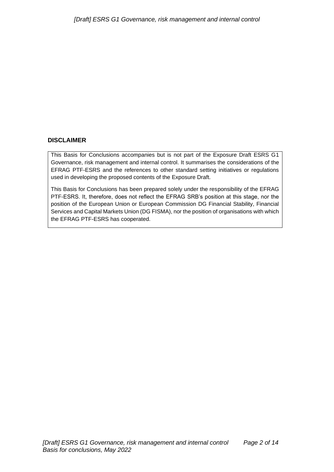#### **DISCLAIMER**

This Basis for Conclusions accompanies but is not part of the Exposure Draft ESRS G1 Governance, risk management and internal control. It summarises the considerations of the EFRAG PTF-ESRS and the references to other standard setting initiatives or regulations used in developing the proposed contents of the Exposure Draft.

This Basis for Conclusions has been prepared solely under the responsibility of the EFRAG PTF-ESRS. It, therefore, does not reflect the EFRAG SRB's position at this stage, nor the position of the European Union or European Commission DG Financial Stability, Financial Services and Capital Markets Union (DG FISMA), nor the position of organisations with which the EFRAG PTF-ESRS has cooperated.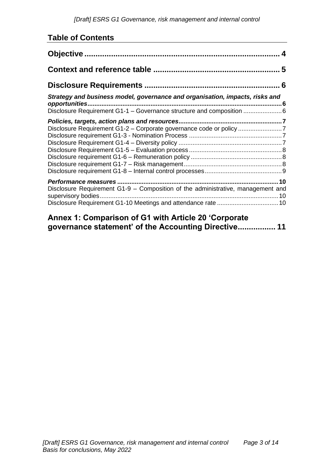## **Table of Contents**

| Strategy and business model, governance and organisation, impacts, risks and<br>Disclosure Requirement G1-1 - Governance structure and composition 6 |
|------------------------------------------------------------------------------------------------------------------------------------------------------|
| Disclosure Requirement G1-2 - Corporate governance code or policy 7                                                                                  |
| Disclosure Requirement G1-9 - Composition of the administrative, management and<br>10                                                                |

## **[Annex 1: Comparison of G1 with Article 20 'Corporate](#page-10-0)  [governance statement' of the Accounting Directive.................](#page-10-0) 11**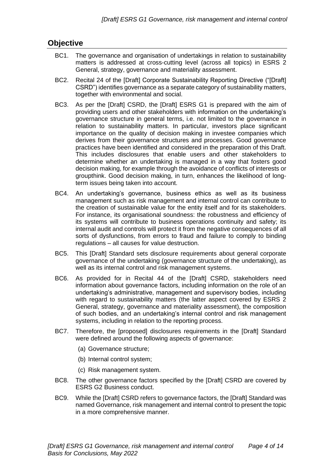## <span id="page-3-0"></span>**Objective**

- BC1. The governance and organisation of undertakings in relation to sustainability matters is addressed at cross-cutting level (across all topics) in ESRS 2 General, strategy, governance and materiality assessment.
- BC2. Recital 24 of the [Draft] Corporate Sustainability Reporting Directive ("[Draft] CSRD") identifies governance as a separate category of sustainability matters, together with environmental and social.
- BC3. As per the [Draft] CSRD, the [Draft] ESRS G1 is prepared with the aim of providing users and other stakeholders with information on the undertaking's governance structure in general terms, i.e. not limited to the governance in relation to sustainability matters. In particular, investors place significant importance on the quality of decision making in investee companies which derives from their governance structures and processes. Good governance practices have been identified and considered in the preparation of this Draft. This includes disclosures that enable users and other stakeholders to determine whether an undertaking is managed in a way that fosters good decision making, for example through the avoidance of conflicts of interests or groupthink. Good decision making, in turn, enhances the likelihood of longterm issues being taken into account.
- BC4. An undertaking's governance, business ethics as well as its business management such as risk management and internal control can contribute to the creation of sustainable value for the entity itself and for its stakeholders. For instance, its organisational soundness: the robustness and efficiency of its systems will contribute to business operations continuity and safety; its internal audit and controls will protect it from the negative consequences of all sorts of dysfunctions, from errors to fraud and failure to comply to binding regulations – all causes for value destruction.
- BC5. This [Draft] Standard sets disclosure requirements about general corporate governance of the undertaking (governance structure of the undertaking), as well as its internal control and risk management systems.
- BC6. As provided for in Recital 44 of the [Draft] CSRD, stakeholders need information about governance factors, including information on the role of an undertaking's administrative, management and supervisory bodies, including with regard to sustainability matters (the latter aspect covered by ESRS 2 General, strategy, governance and materiality assessment), the composition of such bodies, and an undertaking's internal control and risk management systems, including in relation to the reporting process.
- BC7. Therefore, the [proposed] disclosures requirements in the [Draft] Standard were defined around the following aspects of governance:
	- (a) Governance structure;
	- (b) Internal control system;
	- (c) Risk management system.
- BC8. The other governance factors specified by the [Draft] CSRD are covered by ESRS G2 Business conduct.
- BC9. While the [Draft] CSRD refers to governance factors, the [Draft] Standard was named Governance, risk management and internal control to present the topic in a more comprehensive manner.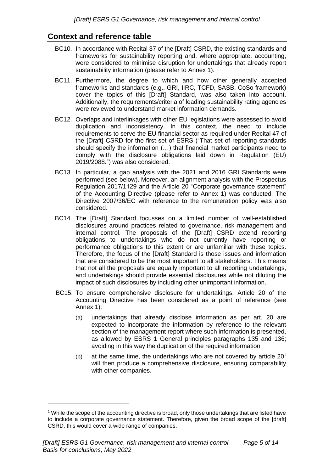## <span id="page-4-0"></span>**Context and reference table**

- BC10. In accordance with Recital 37 of the [Draft] CSRD, the existing standards and frameworks for sustainability reporting and, where appropriate, accounting, were considered to minimise disruption for undertakings that already report sustainability information (please refer to Annex 1).
- BC11. Furthermore, the degree to which and how other generally accepted frameworks and standards (e.g., GRI, IIRC, TCFD, SASB, CoSo framework) cover the topics of this [Draft] Standard, was also taken into account. Additionally, the requirements/criteria of leading sustainability rating agencies were reviewed to understand market information demands.
- BC12. Overlaps and interlinkages with other EU legislations were assessed to avoid duplication and inconsistency. In this context, the need to include requirements to serve the EU financial sector as required under Recital 47 of the [Draft] CSRD for the first set of ESRS ("That set of reporting standards should specify the information (…) that financial market participants need to comply with the disclosure obligations laid down in Regulation (EU) 2019/2088.") was also considered.
- BC13. In particular, a gap analysis with the 2021 and 2016 GRI Standards were performed (see below). Moreover, an alignment analysis with the Prospectus Regulation 2017/1129 and the Article 20 "Corporate governance statement" of the Accounting Directive (please refer to Annex 1) was conducted. The Directive 2007/36/EC with reference to the remuneration policy was also considered.
- BC14. The [Draft] Standard focusses on a limited number of well-established disclosures around practices related to governance, risk management and internal control. The proposals of the [Draft] CSRD extend reporting obligations to undertakings who do not currently have reporting or performance obligations to this extent or are unfamiliar with these topics. Therefore, the focus of the [Draft] Standard is those issues and information that are considered to be the most important to all stakeholders. This means that not all the proposals are equally important to all reporting undertakings, and undertakings should provide essential disclosures while not diluting the impact of such disclosures by including other unimportant information.
- BC15. To ensure comprehensive disclosure for undertakings, Article 20 of the Accounting Directive has been considered as a point of reference (see Annex 1):
	- (a) undertakings that already disclose information as per art. 20 are expected to incorporate the information by reference to the relevant section of the management report where such information is presented, as allowed by ESRS 1 General principles paragraphs 135 and 136; avoiding in this way the duplication of the required information.
	- (b) at the same time, the undertakings who are not covered by article  $20<sup>1</sup>$ will then produce a comprehensive disclosure, ensuring comparability with other companies.

<sup>&</sup>lt;sup>1</sup> While the scope of the accounting directive is broad, only those undertakings that are listed have to include a corporate governance statement. Therefore, given the broad scope of the [draft] CSRD, this would cover a wide range of companies.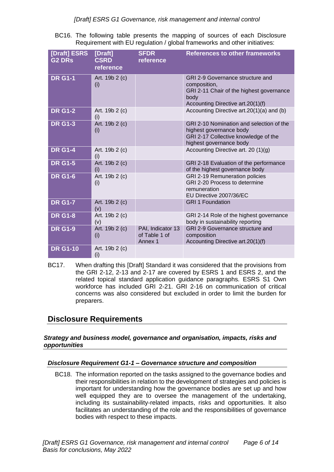BC16. The following table presents the mapping of sources of each Disclosure Requirement with EU regulation / global frameworks and other initiatives:

| [Draft] ESRS<br><b>G2 DRs</b> | [Draft]<br><b>CSRD</b><br>reference | <b>SFDR</b><br>reference                      | <b>References to other frameworks</b>                                                                                                     |
|-------------------------------|-------------------------------------|-----------------------------------------------|-------------------------------------------------------------------------------------------------------------------------------------------|
| <b>DR G1-1</b>                | Art. 19b 2 (c)<br>(i)               |                                               | GRI 2-9 Governance structure and<br>composition,<br>GRI 2-11 Chair of the highest governance<br>body<br>Accounting Directive art.20(1)(f) |
| <b>DR G1-2</b>                | Art. 19b 2 (c)<br>(i)               |                                               | Accounting Directive art.20(1)(a) and (b)                                                                                                 |
| <b>DR G1-3</b>                | Art. 19b 2 (c)<br>(i)               |                                               | GRI 2-10 Nomination and selection of the<br>highest governance body<br>GRI 2-17 Collective knowledge of the<br>highest governance body    |
| <b>DR G1-4</b>                | Art. 19b 2 (c)<br>(i)               |                                               | Accounting Directive art. 20 $(1)(g)$                                                                                                     |
| <b>DR G1-5</b>                | Art. 19b 2 (c)<br>(i)               |                                               | GRI 2-18 Evaluation of the performance<br>of the highest governance body                                                                  |
| <b>DR G1-6</b>                | Art. 19b 2 (c)<br>(i)               |                                               | GRI 2-19 Remuneration policies<br>GRI 2-20 Process to determine<br>remuneration<br>EU Directive 2007/36/EC                                |
| <b>DR G1-7</b>                | Art. 19b 2 (c)<br>(v)               |                                               | <b>GRI 1 Foundation</b>                                                                                                                   |
| <b>DR G1-8</b>                | Art. 19b 2 (c)<br>(v)               |                                               | GRI 2-14 Role of the highest governance<br>body in sustainability reporting                                                               |
| <b>DR G1-9</b>                | Art. 19b 2 (c)<br>(i)               | PAI, Indicator 13<br>of Table 1 of<br>Annex 1 | GRI 2-9 Governance structure and<br>composition<br>Accounting Directive art.20(1)(f)                                                      |
| <b>DR G1-10</b>               | Art. 19b 2 (c)<br>(i)               |                                               |                                                                                                                                           |

BC17. When drafting this [Draft] Standard it was considered that the provisions from the GRI 2-12, 2-13 and 2-17 are covered by ESRS 1 and ESRS 2, and the related topical standard application guidance paragraphs. ESRS S1 Own workforce has included GRI 2-21. GRI 2-16 on communication of critical concerns was also considered but excluded in order to limit the burden for preparers.

## <span id="page-5-0"></span>**Disclosure Requirements**

#### <span id="page-5-1"></span>*Strategy and business model, governance and organisation, impacts, risks and opportunities*

#### <span id="page-5-2"></span>*Disclosure Requirement G1-1 – Governance structure and composition*

BC18. The information reported on the tasks assigned to the governance bodies and their responsibilities in relation to the development of strategies and policies is important for understanding how the governance bodies are set up and how well equipped they are to oversee the management of the undertaking, including its sustainability-related impacts, risks and opportunities. It also facilitates an understanding of the role and the responsibilities of governance bodies with respect to these impacts.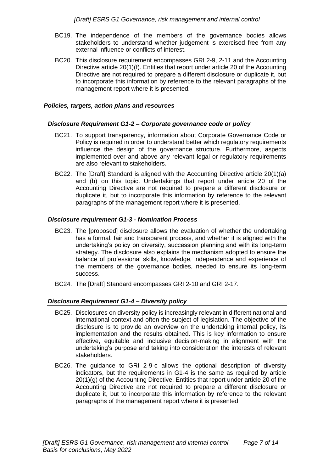- BC19. The independence of the members of the governance bodies allows stakeholders to understand whether judgement is exercised free from any external influence or conflicts of interest.
- BC20. This disclosure requirement encompasses GRI 2-9, 2-11 and the Accounting Directive article 20(1)(f). Entities that report under article 20 of the Accounting Directive are not required to prepare a different disclosure or duplicate it, but to incorporate this information by reference to the relevant paragraphs of the management report where it is presented.

#### <span id="page-6-0"></span>*Policies, targets, action plans and resources*

#### <span id="page-6-1"></span>*Disclosure Requirement G1-2 – Corporate governance code or policy*

- BC21. To support transparency, information about Corporate Governance Code or Policy is required in order to understand better which regulatory requirements influence the design of the governance structure. Furthermore, aspects implemented over and above any relevant legal or regulatory requirements are also relevant to stakeholders.
- BC22. The [Draft] Standard is aligned with the Accounting Directive article 20(1)(a) and (b) on this topic. Undertakings that report under article 20 of the Accounting Directive are not required to prepare a different disclosure or duplicate it, but to incorporate this information by reference to the relevant paragraphs of the management report where it is presented.

#### <span id="page-6-2"></span>*Disclosure requirement G1-3 - Nomination Process*

- BC23. The [proposed] disclosure allows the evaluation of whether the undertaking has a formal, fair and transparent process, and whether it is aligned with the undertaking's policy on diversity, succession planning and with its long-term strategy. The disclosure also explains the mechanism adopted to ensure the balance of professional skills, knowledge, independence and experience of the members of the governance bodies, needed to ensure its long-term success.
- BC24. The [Draft] Standard encompasses GRI 2-10 and GRI 2-17.

#### <span id="page-6-3"></span>*Disclosure Requirement G1-4 – Diversity policy*

- BC25. Disclosures on diversity policy is increasingly relevant in different national and international context and often the subject of legislation. The objective of the disclosure is to provide an overview on the undertaking internal policy, its implementation and the results obtained. This is key information to ensure effective, equitable and inclusive decision-making in alignment with the undertaking's purpose and taking into consideration the interests of relevant stakeholders.
- BC26. The guidance to GRI 2-9-c allows the optional description of diversity indicators, but the requirements in G1-4 is the same as required by article 20(1)(g) of the Accounting Directive. Entities that report under article 20 of the Accounting Directive are not required to prepare a different disclosure or duplicate it, but to incorporate this information by reference to the relevant paragraphs of the management report where it is presented.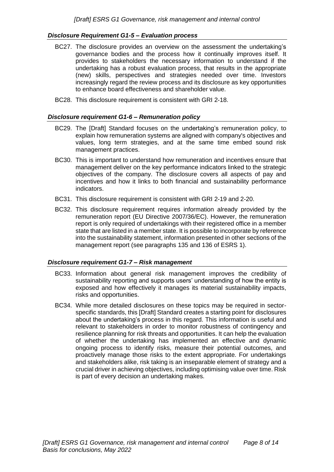#### <span id="page-7-0"></span>*Disclosure Requirement G1-5 – Evaluation process*

- BC27. The disclosure provides an overview on the assessment the undertaking's governance bodies and the process how it continually improves itself. It provides to stakeholders the necessary information to understand if the undertaking has a robust evaluation process, that results in the appropriate (new) skills, perspectives and strategies needed over time. Investors increasingly regard the review process and its disclosure as key opportunities to enhance board effectiveness and shareholder value.
- BC28. This disclosure requirement is consistent with GRI 2-18.

#### <span id="page-7-1"></span>*Disclosure requirement G1-6 – Remuneration policy*

- BC29. The [Draft] Standard focuses on the undertaking's remuneration policy, to explain how remuneration systems are aligned with company's objectives and values, long term strategies, and at the same time embed sound risk management practices.
- BC30. This is important to understand how remuneration and incentives ensure that management deliver on the key performance indicators linked to the strategic objectives of the company. The disclosure covers all aspects of pay and incentives and how it links to both financial and sustainability performance indicators.
- BC31. This disclosure requirement is consistent with GRI 2-19 and 2-20.
- BC32. This disclosure requirement requires information already provided by the remuneration report (EU Directive 2007/36/EC). However, the remuneration report is only required of undertakings with their registered office in a member state that are listed in a member state. It is possible to incorporate by reference into the sustainability statement, information presented in other sections of the management report (see paragraphs 135 and 136 of ESRS 1).

#### <span id="page-7-2"></span>*Disclosure requirement G1-7 – Risk management*

- BC33. Information about general risk management improves the credibility of sustainability reporting and supports users' understanding of how the entity is exposed and how effectively it manages its material sustainability impacts, risks and opportunities.
- BC34. While more detailed disclosures on these topics may be required in sectorspecific standards, this [Draft] Standard creates a starting point for disclosures about the undertaking's process in this regard. This information is useful and relevant to stakeholders in order to monitor robustness of contingency and resilience planning for risk threats and opportunities. It can help the evaluation of whether the undertaking has implemented an effective and dynamic ongoing process to identify risks, measure their potential outcomes, and proactively manage those risks to the extent appropriate. For undertakings and stakeholders alike, risk taking is an inseparable element of strategy and a crucial driver in achieving objectives, including optimising value over time. Risk is part of every decision an undertaking makes.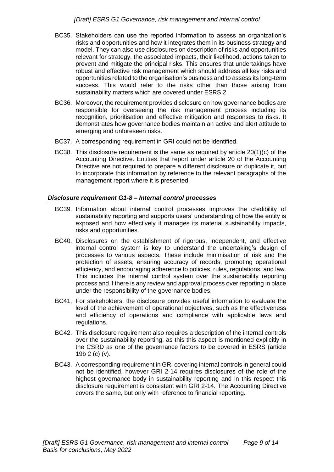- BC35. Stakeholders can use the reported information to assess an organization's risks and opportunities and how it integrates them in its business strategy and model. They can also use disclosures on description of risks and opportunities relevant for strategy, the associated impacts, their likelihood, actions taken to prevent and mitigate the principal risks. This ensures that undertakings have robust and effective risk management which should address all key risks and opportunities related to the organisation's business and to assess its long-term success. This would refer to the risks other than those arising from sustainability matters which are covered under ESRS 2.
- BC36. Moreover, the requirement provides disclosure on how governance bodies are responsible for overseeing the risk management process including its recognition, prioritisation and effective mitigation and responses to risks. It demonstrates how governance bodies maintain an active and alert attitude to emerging and unforeseen risks.
- BC37. A corresponding requirement in GRI could not be identified.
- BC38. This disclosure requirement is the same as required by article 20(1)(c) of the Accounting Directive. Entities that report under article 20 of the Accounting Directive are not required to prepare a different disclosure or duplicate it, but to incorporate this information by reference to the relevant paragraphs of the management report where it is presented.

#### <span id="page-8-0"></span>*Disclosure requirement G1-8 – Internal control processes*

- BC39. Information about internal control processes improves the credibility of sustainability reporting and supports users' understanding of how the entity is exposed and how effectively it manages its material sustainability impacts, risks and opportunities.
- BC40. Disclosures on the establishment of rigorous, independent, and effective internal control system is key to understand the undertaking's design of processes to various aspects. These include minimisation of risk and the protection of assets, ensuring accuracy of records, promoting operational efficiency, and encouraging adherence to policies, rules, regulations, and law. This includes the internal control system over the sustainability reporting process and if there is any review and approval process over reporting in place under the responsibility of the governance bodies.
- BC41. For stakeholders, the disclosure provides useful information to evaluate the level of the achievement of operational objectives, such as the effectiveness and efficiency of operations and compliance with applicable laws and regulations.
- BC42. This disclosure requirement also requires a description of the internal controls over the sustainability reporting, as this this aspect is mentioned explicitly in the CSRD as one of the governance factors to be covered in ESRS (article 19b 2 (c) (v).
- BC43. A corresponding requirement in GRI covering internal controls in general could not be identified, however GRI 2-14 requires disclosures of the role of the highest governance body in sustainability reporting and in this respect this disclosure requirement is consistent with GRI 2-14. The Accounting Directive covers the same, but only with reference to financial reporting.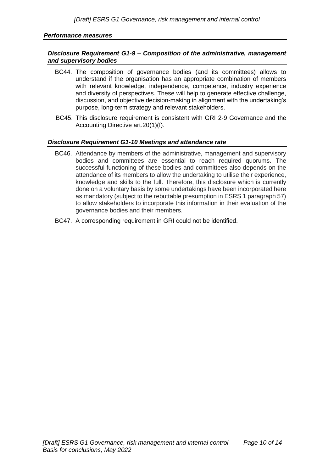#### <span id="page-9-0"></span>*Performance measures*

#### <span id="page-9-1"></span>*Disclosure Requirement G1-9 – Composition of the administrative, management and supervisory bodies*

- BC44. The composition of governance bodies (and its committees) allows to understand if the organisation has an appropriate combination of members with relevant knowledge, independence, competence, industry experience and diversity of perspectives. These will help to generate effective challenge, discussion, and objective decision-making in alignment with the undertaking's purpose, long-term strategy and relevant stakeholders.
- BC45. This disclosure requirement is consistent with GRI 2-9 Governance and the Accounting Directive art.20(1)(f).

#### <span id="page-9-2"></span>*Disclosure Requirement G1-10 Meetings and attendance rate*

- BC46. Attendance by members of the administrative, management and supervisory bodies and committees are essential to reach required quorums. The successful functioning of these bodies and committees also depends on the attendance of its members to allow the undertaking to utilise their experience, knowledge and skills to the full. Therefore, this disclosure which is currently done on a voluntary basis by some undertakings have been incorporated here as mandatory (subject to the rebuttable presumption in ESRS 1 paragraph 57) to allow stakeholders to incorporate this information in their evaluation of the governance bodies and their members.
- BC47. A corresponding requirement in GRI could not be identified.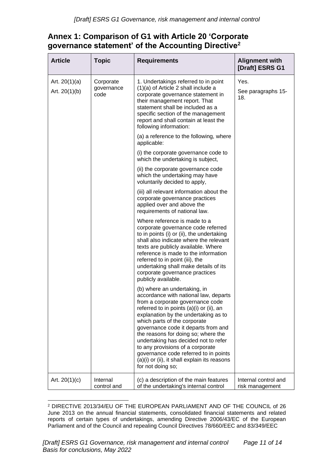## <span id="page-10-0"></span>**Annex 1: Comparison of G1 with Article 20 'Corporate governance statement' of the Accounting Directive<sup>2</sup>**

| <b>Article</b>                     | <b>Topic</b>                    | <b>Requirements</b>                                                                                                                                                                                                                                                                                                                                                                                                                                                                                   | <b>Alignment with</b><br>[Draft] ESRS G1 |
|------------------------------------|---------------------------------|-------------------------------------------------------------------------------------------------------------------------------------------------------------------------------------------------------------------------------------------------------------------------------------------------------------------------------------------------------------------------------------------------------------------------------------------------------------------------------------------------------|------------------------------------------|
| Art. $20(1)(a)$<br>Art. $20(1)(b)$ | Corporate<br>governance<br>code | 1. Undertakings referred to in point<br>$(1)(a)$ of Article 2 shall include a<br>corporate governance statement in<br>their management report. That<br>statement shall be included as a<br>specific section of the management<br>report and shall contain at least the<br>following information:                                                                                                                                                                                                      | Yes.<br>See paragraphs 15-<br>18.        |
|                                    |                                 | (a) a reference to the following, where<br>applicable:                                                                                                                                                                                                                                                                                                                                                                                                                                                |                                          |
|                                    |                                 | (i) the corporate governance code to<br>which the undertaking is subject,                                                                                                                                                                                                                                                                                                                                                                                                                             |                                          |
|                                    |                                 | (ii) the corporate governance code<br>which the undertaking may have<br>voluntarily decided to apply,                                                                                                                                                                                                                                                                                                                                                                                                 |                                          |
|                                    |                                 | (iii) all relevant information about the<br>corporate governance practices<br>applied over and above the<br>requirements of national law.                                                                                                                                                                                                                                                                                                                                                             |                                          |
|                                    |                                 | Where reference is made to a<br>corporate governance code referred<br>to in points (i) or (ii), the undertaking<br>shall also indicate where the relevant<br>texts are publicly available. Where<br>reference is made to the information<br>referred to in point (iii), the<br>undertaking shall make details of its<br>corporate governance practices<br>publicly available.                                                                                                                         |                                          |
|                                    |                                 | (b) where an undertaking, in<br>accordance with national law, departs<br>from a corporate governance code<br>referred to in points (a)(i) or (ii), an<br>explanation by the undertaking as to<br>which parts of the corporate<br>governance code it departs from and<br>the reasons for doing so; where the<br>undertaking has decided not to refer<br>to any provisions of a corporate<br>governance code referred to in points<br>(a)(i) or (ii), it shall explain its reasons<br>for not doing so; |                                          |
| Art. $20(1)(c)$                    | Internal<br>control and         | (c) a description of the main features<br>of the undertaking's internal control                                                                                                                                                                                                                                                                                                                                                                                                                       | Internal control and<br>risk management  |

<sup>2</sup> DIRECTIVE 2013/34/EU OF THE EUROPEAN PARLIAMENT AND OF THE COUNCIL of 26 June 2013 on the annual financial statements, consolidated financial statements and related reports of certain types of undertakings, amending Directive 2006/43/EC of the European Parliament and of the Council and repealing Council Directives 78/660/EEC and 83/349/EEC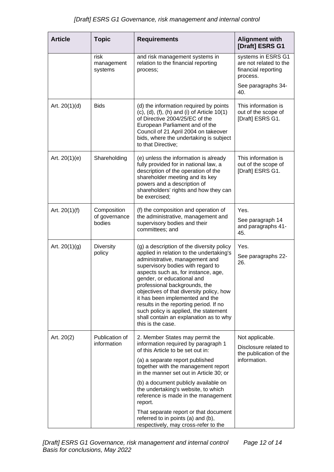| <b>Article</b>  | <b>Topic</b>                           | <b>Requirements</b>                                                                                                                                                                                                                                                                                                                                                                                                                                                                                 | <b>Alignment with</b><br>[Draft] ESRS G1                                           |
|-----------------|----------------------------------------|-----------------------------------------------------------------------------------------------------------------------------------------------------------------------------------------------------------------------------------------------------------------------------------------------------------------------------------------------------------------------------------------------------------------------------------------------------------------------------------------------------|------------------------------------------------------------------------------------|
|                 | risk<br>management<br>systems          | and risk management systems in<br>relation to the financial reporting<br>process;                                                                                                                                                                                                                                                                                                                                                                                                                   | systems in ESRS G1<br>are not related to the<br>financial reporting<br>process.    |
|                 |                                        |                                                                                                                                                                                                                                                                                                                                                                                                                                                                                                     | See paragraphs 34-<br>40.                                                          |
| Art. $20(1)(d)$ | <b>Bids</b>                            | (d) the information required by points<br>$(c)$ , $(d)$ , $(f)$ , $(h)$ and $(i)$ of Article 10 $(1)$<br>of Directive 2004/25/EC of the<br>European Parliament and of the<br>Council of 21 April 2004 on takeover<br>bids, where the undertaking is subject<br>to that Directive;                                                                                                                                                                                                                   | This information is<br>out of the scope of<br>[Draft] ESRS G1.                     |
| Art. $20(1)(e)$ | Shareholding                           | (e) unless the information is already<br>fully provided for in national law, a<br>description of the operation of the<br>shareholder meeting and its key<br>powers and a description of<br>shareholders' rights and how they can<br>be exercised;                                                                                                                                                                                                                                                   | This information is<br>out of the scope of<br>[Draft] ESRS G1.                     |
| Art. $20(1)(f)$ | Composition<br>of governance<br>bodies | (f) the composition and operation of<br>the administrative, management and<br>supervisory bodies and their<br>committees; and                                                                                                                                                                                                                                                                                                                                                                       | Yes.<br>See paragraph 14<br>and paragraphs 41-<br>45.                              |
| Art. $20(1)(g)$ | Diversity<br>policy                    | (g) a description of the diversity policy<br>applied in relation to the undertaking's<br>administrative, management and<br>supervisory bodies with regard to<br>aspects such as, for instance, age,<br>gender, or educational and<br>professional backgrounds, the<br>objectives of that diversity policy, how<br>it has been implemented and the<br>results in the reporting period. If no<br>such policy is applied, the statement<br>shall contain an explanation as to why<br>this is the case. | Yes.<br>See paragraphs 22-<br>26.                                                  |
| Art. 20(2)      | Publication of<br>information          | 2. Member States may permit the<br>information required by paragraph 1<br>of this Article to be set out in:<br>(a) a separate report published<br>together with the management report<br>in the manner set out in Article 30; or<br>(b) a document publicly available on<br>the undertaking's website, to which<br>reference is made in the management<br>report.<br>That separate report or that document<br>referred to in points (a) and (b),<br>respectively, may cross-refer to the            | Not applicable.<br>Disclosure related to<br>the publication of the<br>information. |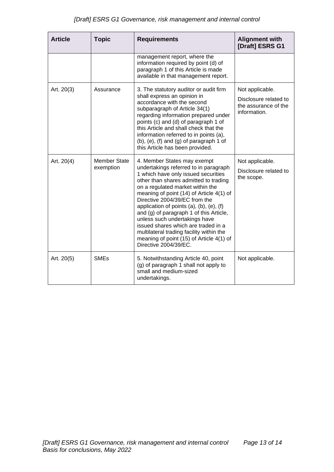| <b>Article</b> | <b>Topic</b>                     | <b>Requirements</b>                                                                                                                                                                                                                                                                                                                                                                                                                                                                                                                                              | <b>Alignment with</b><br>[Draft] ESRS G1                                         |
|----------------|----------------------------------|------------------------------------------------------------------------------------------------------------------------------------------------------------------------------------------------------------------------------------------------------------------------------------------------------------------------------------------------------------------------------------------------------------------------------------------------------------------------------------------------------------------------------------------------------------------|----------------------------------------------------------------------------------|
|                |                                  | management report, where the<br>information required by point (d) of<br>paragraph 1 of this Article is made<br>available in that management report.                                                                                                                                                                                                                                                                                                                                                                                                              |                                                                                  |
| Art. 20(3)     | Assurance                        | 3. The statutory auditor or audit firm<br>shall express an opinion in<br>accordance with the second<br>subparagraph of Article 34(1)<br>regarding information prepared under<br>points (c) and (d) of paragraph 1 of<br>this Article and shall check that the<br>information referred to in points (a),<br>(b), (e), (f) and (g) of paragraph 1 of<br>this Article has been provided.                                                                                                                                                                            | Not applicable.<br>Disclosure related to<br>the assurance of the<br>information. |
| Art. 20(4)     | <b>Member State</b><br>exemption | 4. Member States may exempt<br>undertakings referred to in paragraph<br>1 which have only issued securities<br>other than shares admitted to trading<br>on a regulated market within the<br>meaning of point (14) of Article 4(1) of<br>Directive 2004/39/EC from the<br>application of points $(a)$ , $(b)$ , $(e)$ , $(f)$<br>and (g) of paragraph 1 of this Article,<br>unless such undertakings have<br>issued shares which are traded in a<br>multilateral trading facility within the<br>meaning of point (15) of Article 4(1) of<br>Directive 2004/39/EC. | Not applicable.<br>Disclosure related to<br>the scope.                           |
| Art. 20(5)     | <b>SMEs</b>                      | 5. Notwithstanding Article 40, point<br>(g) of paragraph 1 shall not apply to<br>small and medium-sized<br>undertakings.                                                                                                                                                                                                                                                                                                                                                                                                                                         | Not applicable.                                                                  |